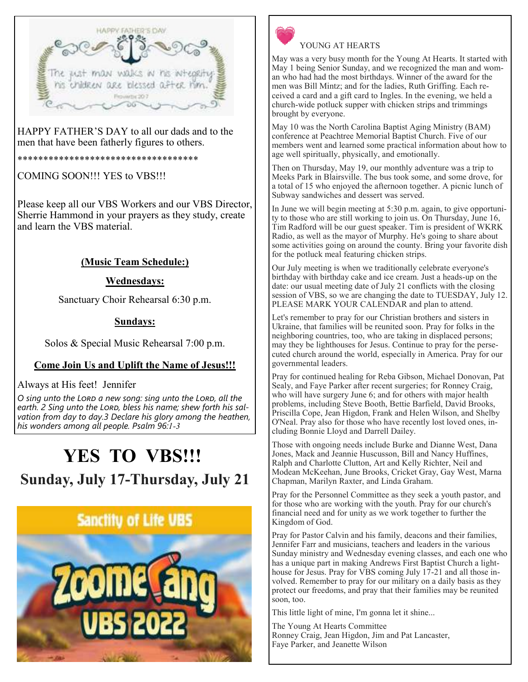

HAPPY FATHER'S DAY to all our dads and to the men that have been fatherly figures to others.

\*\*\*\*\*\*\*\*\*\*\*\*\*\*\*\*\*\*\*\*\*\*\*\*\*\*\*\*\*\*\*\*\*\*\*

COMING SOON!!! YES to VBS!!!

Please keep all our VBS Workers and our VBS Director, Sherrie Hammond in your prayers as they study, create and learn the VBS material.

# **(Music Team Schedule:)**

# **Wednesdays:**

Sanctuary Choir Rehearsal 6:30 p.m.

# **Sundays:**

Solos & Special Music Rehearsal 7:00 p.m.

# **Come Join Us and Uplift the Name of Jesus!!!**

Always at His feet! Jennifer

O sing unto the LORD a new song: sing unto the LORD, all the earth. 2 Sing unto the LORD, bless his name; shew forth his sal*vation from day to day.3 Declare his glory among the heathen, his wonders among all people. Psalm 96:1-3* 

# **YES TO VBS!!! Sunday, July 17-Thursday, July 21**





#### YOUNG AT HEARTS

May was a very busy month for the Young At Hearts. It started with May 1 being Senior Sunday, and we recognized the man and woman who had had the most birthdays. Winner of the award for the men was Bill Mintz; and for the ladies, Ruth Griffing. Each received a card and a gift card to Ingles. In the evening, we held a church-wide potluck supper with chicken strips and trimmings brought by everyone.

May 10 was the North Carolina Baptist Aging Ministry (BAM) conference at Peachtree Memorial Baptist Church. Five of our members went and learned some practical information about how to age well spiritually, physically, and emotionally.

Then on Thursday, May 19, our monthly adventure was a trip to Meeks Park in Blairsville. The bus took some, and some drove, for a total of 15 who enjoyed the afternoon together. A picnic lunch of Subway sandwiches and dessert was served.

In June we will begin meeting at 5:30 p.m. again, to give opportunity to those who are still working to join us. On Thursday, June 16, Tim Radford will be our guest speaker. Tim is president of WKRK Radio, as well as the mayor of Murphy. He's going to share about some activities going on around the county. Bring your favorite dish for the potluck meal featuring chicken strips.

Our July meeting is when we traditionally celebrate everyone's birthday with birthday cake and ice cream. Just a heads-up on the date: our usual meeting date of July 21 conflicts with the closing session of VBS, so we are changing the date to TUESDAY, July 12. PLEASE MARK YOUR CALENDAR and plan to attend.

Let's remember to pray for our Christian brothers and sisters in Ukraine, that families will be reunited soon. Pray for folks in the neighboring countries, too, who are taking in displaced persons; may they be lighthouses for Jesus. Continue to pray for the persecuted church around the world, especially in America. Pray for our governmental leaders.

Pray for continued healing for Reba Gibson, Michael Donovan, Pat Sealy, and Faye Parker after recent surgeries; for Ronney Craig, who will have surgery June 6; and for others with major health problems, including Steve Booth, Bettie Barfield, David Brooks, Priscilla Cope, Jean Higdon, Frank and Helen Wilson, and Shelby O'Neal. Pray also for those who have recently lost loved ones, including Bonnie Lloyd and Darrell Dailey.

Those with ongoing needs include Burke and Dianne West, Dana Jones, Mack and Jeannie Huscusson, Bill and Nancy Huffines, Ralph and Charlotte Clutton, Art and Kelly Richter, Neil and Modean McKeehan, June Brooks, Cricket Gray, Gay West, Marna Chapman, Marilyn Raxter, and Linda Graham.

Pray for the Personnel Committee as they seek a youth pastor, and for those who are working with the youth. Pray for our church's financial need and for unity as we work together to further the Kingdom of God.

Pray for Pastor Calvin and his family, deacons and their families, Jennifer Farr and musicians, teachers and leaders in the various Sunday ministry and Wednesday evening classes, and each one who has a unique part in making Andrews First Baptist Church a lighthouse for Jesus. Pray for VBS coming July 17-21 and all those involved. Remember to pray for our military on a daily basis as they protect our freedoms, and pray that their families may be reunited soon, too.

This little light of mine, I'm gonna let it shine...

The Young At Hearts Committee Ronney Craig, Jean Higdon, Jim and Pat Lancaster, Faye Parker, and Jeanette Wilson